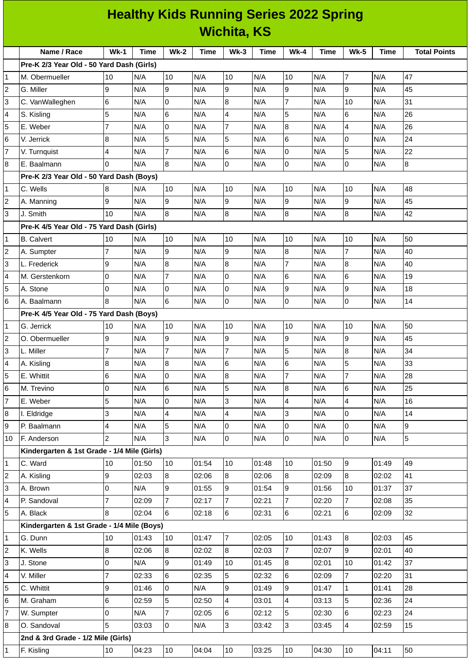|                         | <b>Healthy Kids Running Series 2022 Spring</b><br><b>Wichita, KS</b> |                |              |                                   |                |                  |       |                          |                |                |                |                     |
|-------------------------|----------------------------------------------------------------------|----------------|--------------|-----------------------------------|----------------|------------------|-------|--------------------------|----------------|----------------|----------------|---------------------|
|                         |                                                                      |                |              |                                   |                |                  |       |                          |                |                |                |                     |
|                         | Name / Race                                                          | $Wk-1$         | <b>Time</b>  | <b>Wk-2</b>                       | <b>Time</b>    | $Wk-3$           | Time  | $Wk-4$                   | <b>Time</b>    | <b>Wk-5</b>    | <b>Time</b>    | <b>Total Points</b> |
|                         | Pre-K 2/3 Year Old - 50 Yard Dash (Girls)                            |                |              |                                   |                |                  |       |                          |                |                |                |                     |
| $\mathbf{1}$            | M. Obermueller                                                       | 10             | N/A          | 10                                | N/A            | 10               | N/A   | 10                       | N/A            | $\overline{7}$ | N/A            | 47                  |
| $\mathbf 2$             | G. Miller                                                            | 9              | N/A          | l9                                | N/A            | 9                | N/A   | 9                        | N/A            | 9              | N/A            | 45                  |
| 3                       | C. VanWalleghen                                                      | 6              | N/A          | l0                                | N/A            | 8                | N/A   | $\overline{7}$           | N/A            | 10             | N/A            | 31                  |
| 4                       | S. Kisling                                                           | 5              | N/A          | $\,6$                             | N/A            | 4                | N/A   | 5                        | N/A            | 6              | N/A            | 26                  |
| 5                       | E. Weber                                                             | $\overline{7}$ | N/A          | 0                                 | N/A            | 7                | N/A   | $\bf{8}$                 | N/A            | $\overline{4}$ | N/A            | 26                  |
| 6                       | V. Jerrick                                                           | 8              | N/A          | 5                                 | N/A            | 5                | N/A   | 6                        | N/A            | 0              | N/A            | 24                  |
| $\overline{7}$          | V. Turnquist                                                         | 4              | N/A          | $\overline{7}$                    | N/A            | 6                | N/A   | 0                        | N/A            | 5              | N/A            | 22                  |
| 8                       | E. Baalmann                                                          | 0              | N/A          | 8                                 | N/A            | 0                | N/A   | $\overline{0}$           | N/A            | $\Omega$       | N/A            | 8                   |
|                         | Pre-K 2/3 Year Old - 50 Yard Dash (Boys)                             |                |              |                                   |                |                  |       |                          |                |                |                |                     |
| 1                       | C. Wells                                                             | 8              | N/A          | 10                                | N/A            | 10               | N/A   | 10                       | N/A            | 10             | N/A            | 48                  |
| $\overline{\mathbf{c}}$ | A. Manning                                                           | 9              | N/A          | 9                                 | N/A            | 9                | N/A   | 9                        | N/A            | 9              | N/A            | 45                  |
| 3                       | J. Smith                                                             | 10             | N/A          | 8                                 | N/A            | $\boldsymbol{8}$ | N/A   | 8                        | N/A            | 8              | N/A            | 42                  |
|                         | Pre-K 4/5 Year Old - 75 Yard Dash (Girls)                            |                |              |                                   |                |                  |       |                          |                |                |                |                     |
| 1                       | <b>B.</b> Calvert                                                    | 10             | N/A          | 10                                | N/A            | 10               | N/A   | 10                       | N/A            | 10             | N/A            | 50                  |
| $\overline{c}$          | A. Sumpter                                                           | $\overline{7}$ | N/A          | g                                 | N/A            | 9                | N/A   | $\overline{8}$           | N/A            | $\overline{7}$ | N/A            | 40                  |
| 3                       | L. Frederick                                                         | 9              | N/A          | 8                                 | N/A            | 8                | N/A   | $\overline{7}$           | N/A            | 8              | N/A            | 40                  |
| 4                       | M. Gerstenkorn                                                       | 0              | N/A          | $\overline{7}$                    | N/A            | 0                | N/A   | 6                        | N/A            | 6              | N/A            | 19                  |
| 5                       | A. Stone                                                             | 0              | N/A          | l0                                | N/A            | 0                | N/A   | 9                        | N/A            | 9              | N/A            | 18                  |
| 6                       | A. Baalmann                                                          | 8              | N/A          | 6                                 | N/A            | 0                | N/A   | 0                        | N/A            | $\Omega$       | N/A            | 14                  |
|                         | Pre-K 4/5 Year Old - 75 Yard Dash (Boys)                             |                |              |                                   |                |                  |       |                          |                |                |                |                     |
| 1                       | G. Jerrick                                                           | 10             | N/A          | 10                                | N/A            | 10               | N/A   | 10                       | N/A            | 10             | N/A            | 50                  |
| $\mathbf 2$             | O. Obermueller                                                       | 9              | N/A          | 9                                 | N/A            | 9                | N/A   | 9                        | N/A            | 9              | N/A            | 45                  |
| 3                       | L. Miller                                                            | $\overline{7}$ | N/A          | $\overline{7}$                    | N/A            | $\overline{7}$   | N/A   | 5                        | N/A            | 8              | N/A            | 34                  |
| 4                       | A. Kisling                                                           | $\bf{8}$       | N/A          | 8                                 | N/A            | $6\phantom{.}6$  | N/A   | 6                        | N/A            | 5              | N/A            | 33                  |
| 5                       | E. Whittit                                                           | 6              | N/A          | $\pmb{0}$                         | N/A            | 8                | N/A   | 7                        | N/A            | $\overline{7}$ | N/A            | 28                  |
| 6                       | M. Trevino                                                           | 0              | N/A          | $6\phantom{a}$                    | N/A            | 5                | N/A   | 8                        | N/A            | 6              | N/A            | 25                  |
| 7                       | E. Weber                                                             | 5              | N/A          | 0                                 | N/A            | 3                | N/A   | $\overline{4}$           | N/A            | 4              | N/A            | 16                  |
| 8                       | I. Eldridge                                                          | 3              | N/A          | $\overline{\mathbf{4}}$           | N/A            | 4                | N/A   | 3                        | N/A            | 0              | N/A            | 14                  |
| 9                       | P. Baalmann                                                          | 4              | N/A          | 5                                 | N/A            | 0                | N/A   | $\overline{0}$           | N/A            | 0              | N/A            | 9                   |
| 10                      | F. Anderson                                                          | $\overline{c}$ | N/A          | 3                                 | N/A            | $\overline{0}$   | N/A   | 0                        | N/A            | $\overline{0}$ | N/A            | 5                   |
|                         | Kindergarten & 1st Grade - 1/4 Mile (Girls)                          |                |              |                                   |                |                  |       |                          |                |                |                |                     |
| 1                       | C. Ward                                                              | 10             | 01:50        | 10                                | 01:54          | 10               | 01:48 | 10                       | 01:50          | $\overline{9}$ | 01:49          | 49                  |
| $\sqrt{2}$              | A. Kisling                                                           | 9              | 02:03        | 8                                 | 02:06          | $\bf{8}$         | 02:06 | 8                        | 02:09          | $8\,$          | 02:02          | 41                  |
| 3                       | A. Brown                                                             | 0              | N/A          | 9                                 | 01:55          | 9                | 01:54 | 9                        | 01:56          | $10\,$         | 01:37          | 37                  |
| 4<br>5                  | P. Sandoval                                                          | 7              | 02:09        | $\overline{7}$<br>$6\overline{6}$ | 02:17          | $\overline{7}$   | 02:21 | $\overline{7}$           | 02:20          | $\overline{7}$ | 02:08          | 35                  |
|                         | A. Black                                                             | 8              | 02:04        |                                   | 02:18          | $6\phantom{.}$   | 02:31 | 6                        | 02:21          | 6              | 02:09          | 32                  |
| 1                       | Kindergarten & 1st Grade - 1/4 Mile (Boys)<br>G. Dunn                | 10             | 01:43        | 10                                | 01:47          | $\overline{7}$   | 02:05 | 10                       | 01:43          | 8              | 02:03          | 45                  |
|                         |                                                                      | 8              |              | 8                                 |                | 8                | 02:03 |                          |                | 9              |                |                     |
| 2<br>3                  | K. Wells<br>J. Stone                                                 | 0              | 02:06<br>N/A | 9                                 | 02:02<br>01:49 | 10               | 01:45 | 7<br>8                   | 02:07<br>02:01 | 10             | 02:01<br>01:42 | 40<br>37            |
| 4                       | V. Miller                                                            | $\overline{7}$ | 02:33        | 6                                 | 02:35          | 5                | 02:32 | 6                        | 02:09          | $\overline{7}$ | 02:20          | 31                  |
| 5                       | C. Whittit                                                           | 9              | 01:46        | l0                                | N/A            | 9                | 01:49 | 9                        | 01:47          | $\mathbf 1$    | 01:41          | 28                  |
| 6                       | M. Graham                                                            | 6              | 02:59        | 5                                 | 02:50          | 4                | 03:01 | $\overline{\mathcal{A}}$ | 03:13          | 5              | 02:36          | 24                  |
| 7                       | W. Sumpter                                                           | 0              | N/A          | $\overline{7}$                    | 02:05          | 6                | 02:12 | 5                        | 02:30          | 6              | 02:23          | 24                  |
| 8                       | O. Sandoval                                                          | 5              | 03:03        | l0                                | N/A            | 3                | 03:42 | 3                        | 03:45          | 4              | 02:59          | 15                  |
|                         | 2nd & 3rd Grade - 1/2 Mile (Girls)                                   |                |              |                                   |                |                  |       |                          |                |                |                |                     |
| 1                       | F. Kisling                                                           | $10\,$         | 04:23        | 10                                | 04:04          | 10               | 03:25 | $10\,$                   | 04:30          | $10\,$         | 04:11          | 50                  |
|                         |                                                                      |                |              |                                   |                |                  |       |                          |                |                |                |                     |